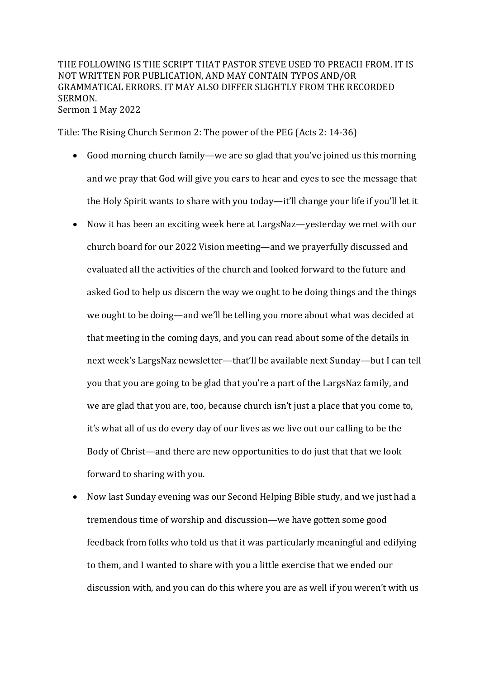## THE FOLLOWING IS THE SCRIPT THAT PASTOR STEVE USED TO PREACH FROM. IT IS NOT WRITTEN FOR PUBLICATION, AND MAY CONTAIN TYPOS AND/OR GRAMMATICAL ERRORS. IT MAY ALSO DIFFER SLIGHTLY FROM THE RECORDED SERMON. Sermon 1 May 2022

Title: The Rising Church Sermon 2: The power of the PEG (Acts 2: 14-36)

- Good morning church family—we are so glad that you've joined us this morning and we pray that God will give you ears to hear and eyes to see the message that the Holy Spirit wants to share with you today—it'll change your life if you'll let it
- Now it has been an exciting week here at LargsNaz—yesterday we met with our church board for our 2022 Vision meeting—and we prayerfully discussed and evaluated all the activities of the church and looked forward to the future and asked God to help us discern the way we ought to be doing things and the things we ought to be doing—and we'll be telling you more about what was decided at that meeting in the coming days, and you can read about some of the details in next week's LargsNaz newsletter—that'll be available next Sunday—but I can tell you that you are going to be glad that you're a part of the LargsNaz family, and we are glad that you are, too, because church isn't just a place that you come to, it's what all of us do every day of our lives as we live out our calling to be the Body of Christ—and there are new opportunities to do just that that we look forward to sharing with you.
- Now last Sunday evening was our Second Helping Bible study, and we just had a tremendous time of worship and discussion—we have gotten some good feedback from folks who told us that it was particularly meaningful and edifying to them, and I wanted to share with you a little exercise that we ended our discussion with, and you can do this where you are as well if you weren't with us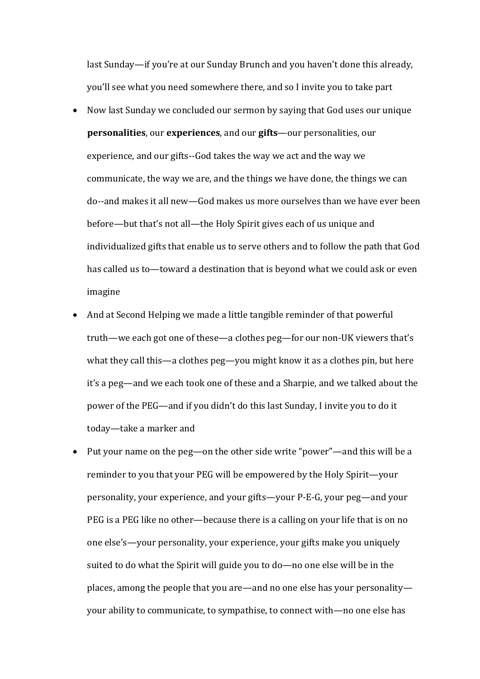last Sunday—if you're at our Sunday Brunch and you haven't done this already, you'll see what you need somewhere there, and so I invite you to take part

- Now last Sunday we concluded our sermon by saying that God uses our unique **personalities**, our **experiences**, and our **gifts**—our personalities, our experience, and our gifts--God takes the way we act and the way we communicate, the way we are, and the things we have done, the things we can do--and makes it all new—God makes us more ourselves than we have ever been before—but that's not all—the Holy Spirit gives each of us unique and individualized gifts that enable us to serve others and to follow the path that God has called us to—toward a destination that is beyond what we could ask or even imagine
- And at Second Helping we made a little tangible reminder of that powerful truth—we each got one of these—a clothes peg—for our non-UK viewers that's what they call this—a clothes  $peg$ —you might know it as a clothes pin, but here it's a peg—and we each took one of these and a Sharpie, and we talked about the power of the PEG—and if you didn't do this last Sunday, I invite you to do it today—take a marker and
- Put your name on the peg—on the other side write "power"—and this will be a reminder to you that your PEG will be empowered by the Holy Spirit—your personality, your experience, and your gifts—your P-E-G, your peg—and your PEG is a PEG like no other—because there is a calling on your life that is on no one else's—your personality, your experience, your gifts make you uniquely suited to do what the Spirit will guide you to do—no one else will be in the places, among the people that you are—and no one else has your personality your ability to communicate, to sympathise, to connect with—no one else has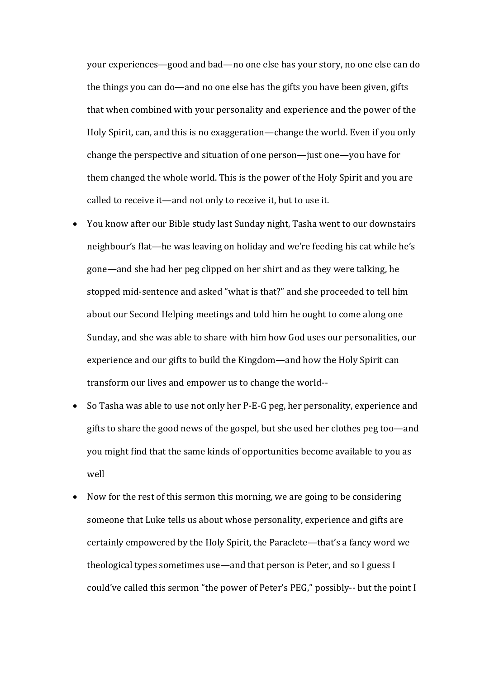your experiences-good and bad-no one else has your story, no one else can do the things you can do—and no one else has the gifts you have been given, gifts that when combined with your personality and experience and the power of the Holy Spirit, can, and this is no exaggeration—change the world. Even if you only change the perspective and situation of one person—just one—you have for them changed the whole world. This is the power of the Holy Spirit and you are called to receive it—and not only to receive it, but to use it.

- You know after our Bible study last Sunday night, Tasha went to our downstairs neighbour's flat—he was leaving on holiday and we're feeding his cat while he's gone—and she had her peg clipped on her shirt and as they were talking, he stopped mid-sentence and asked "what is that?" and she proceeded to tell him about our Second Helping meetings and told him he ought to come along one Sunday, and she was able to share with him how God uses our personalities, our experience and our gifts to build the Kingdom—and how the Holy Spirit can transform our lives and empower us to change the world--
- So Tasha was able to use not only her P-E-G peg, her personality, experience and gifts to share the good news of the gospel, but she used her clothes peg too—and you might find that the same kinds of opportunities become available to you as well
- Now for the rest of this sermon this morning, we are going to be considering someone that Luke tells us about whose personality, experience and gifts are certainly empowered by the Holy Spirit, the Paraclete—that's a fancy word we theological types sometimes use—and that person is Peter, and so I guess I could've called this sermon "the power of Peter's PEG," possibly-- but the point I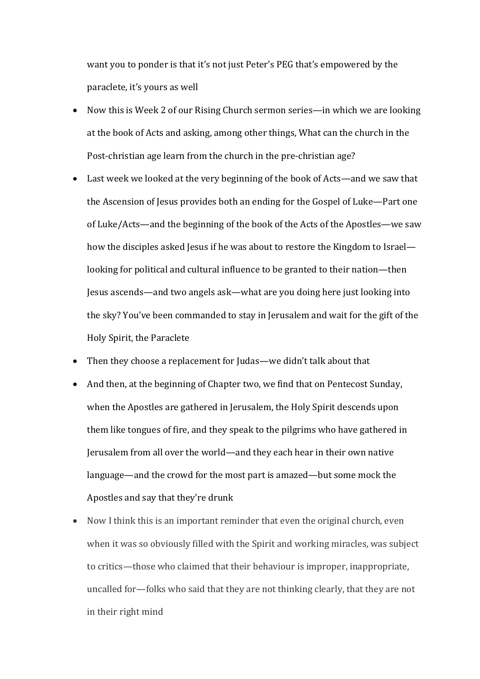want you to ponder is that it's not just Peter's PEG that's empowered by the paraclete, it's yours as well

- Now this is Week 2 of our Rising Church sermon series—in which we are looking at the book of Acts and asking, among other things, What can the church in the Post-christian age learn from the church in the pre-christian age?
- Last week we looked at the very beginning of the book of Acts—and we saw that the Ascension of Jesus provides both an ending for the Gospel of Luke—Part one of Luke/Acts—and the beginning of the book of the Acts of the Apostles—we saw how the disciples asked Jesus if he was about to restore the Kingdom to Israel looking for political and cultural influence to be granted to their nation—then Jesus ascends—and two angels ask—what are you doing here just looking into the sky? You've been commanded to stay in Jerusalem and wait for the gift of the Holy Spirit, the Paraclete
- Then they choose a replacement for Judas—we didn't talk about that
- And then, at the beginning of Chapter two, we find that on Pentecost Sunday, when the Apostles are gathered in Jerusalem, the Holy Spirit descends upon them like tongues of fire, and they speak to the pilgrims who have gathered in Jerusalem from all over the world—and they each hear in their own native language—and the crowd for the most part is amazed—but some mock the Apostles and say that they're drunk
- Now I think this is an important reminder that even the original church, even when it was so obviously filled with the Spirit and working miracles, was subject to critics—those who claimed that their behaviour is improper, inappropriate, uncalled for—folks who said that they are not thinking clearly, that they are not in their right mind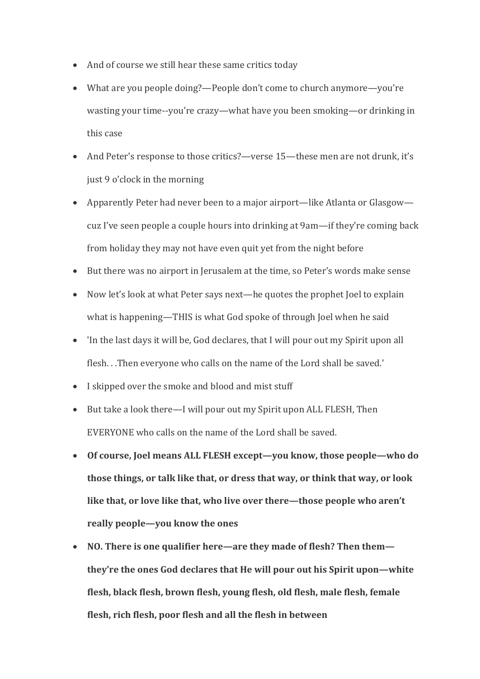- And of course we still hear these same critics today
- What are you people doing?—People don't come to church anymore—you're wasting your time--you're crazy—what have you been smoking—or drinking in this case
- And Peter's response to those critics?—verse 15—these men are not drunk, it's just 9 o'clock in the morning
- Apparently Peter had never been to a major airport—like Atlanta or Glasgow cuz I've seen people a couple hours into drinking at 9am—if they're coming back from holiday they may not have even quit yet from the night before
- But there was no airport in Jerusalem at the time, so Peter's words make sense
- Now let's look at what Peter says next—he quotes the prophet Joel to explain what is happening—THIS is what God spoke of through Joel when he said
- 'In the last days it will be, God declares, that I will pour out my Spirit upon all flesh...Then everyone who calls on the name of the Lord shall be saved.'
- I skipped over the smoke and blood and mist stuff
- But take a look there—I will pour out my Spirit upon ALL FLESH, Then EVERYONE who calls on the name of the Lord shall be saved.
- Of course, Joel means ALL FLESH except—you know, those people—who do **those things, or talk like that, or dress that way, or think that way, or look** like that, or love like that, who live over there—those people who aren't really people-you know the ones
- NO. There is one qualifier here—are they made of flesh? Then them **they're the ones God declares that He will pour out his Spirit upon—white** flesh, black flesh, brown flesh, young flesh, old flesh, male flesh, female flesh, rich flesh, poor flesh and all the flesh in between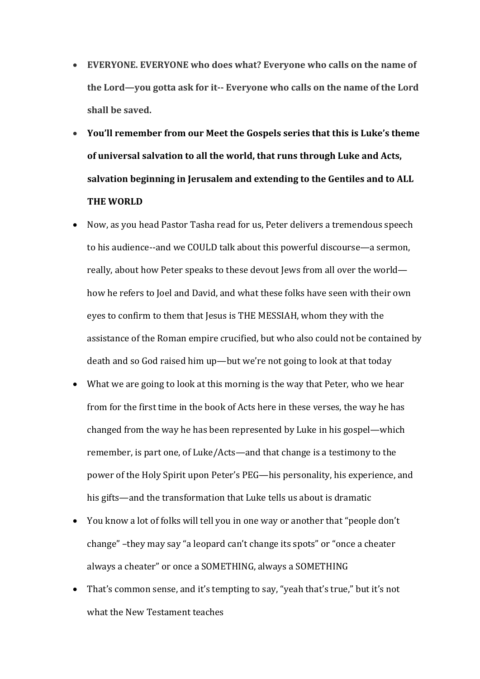- **EVERYONE.** EVERYONE who does what? Everyone who calls on the name of the Lord—you gotta ask for it-- Everyone who calls on the name of the Lord shall be saved.
- You'll remember from our Meet the Gospels series that this is Luke's theme of universal salvation to all the world, that runs through Luke and Acts, salvation beginning in Jerusalem and extending to the Gentiles and to ALL **THE WORLD**
- Now, as you head Pastor Tasha read for us, Peter delivers a tremendous speech to his audience--and we COULD talk about this powerful discourse—a sermon, really, about how Peter speaks to these devout Jews from all over the world how he refers to Joel and David, and what these folks have seen with their own eyes to confirm to them that Jesus is THE MESSIAH, whom they with the assistance of the Roman empire crucified, but who also could not be contained by death and so God raised him up—but we're not going to look at that today
- What we are going to look at this morning is the way that Peter, who we hear from for the first time in the book of Acts here in these verses, the way he has changed from the way he has been represented by Luke in his gospel—which remember, is part one, of Luke/Acts—and that change is a testimony to the power of the Holy Spirit upon Peter's PEG—his personality, his experience, and his gifts—and the transformation that Luke tells us about is dramatic
- You know a lot of folks will tell you in one way or another that "people don't change" –they may say "a leopard can't change its spots" or "once a cheater always a cheater" or once a SOMETHING, always a SOMETHING
- That's common sense, and it's tempting to say, "yeah that's true," but it's not what the New Testament teaches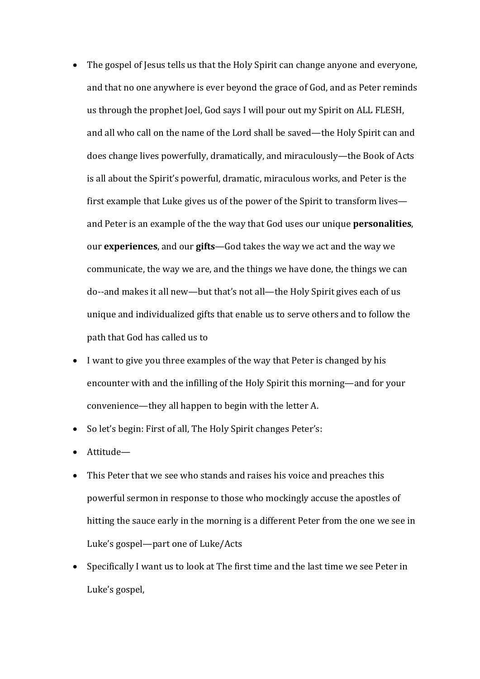- The gospel of Jesus tells us that the Holy Spirit can change anyone and everyone, and that no one anywhere is ever beyond the grace of God, and as Peter reminds us through the prophet Joel, God says I will pour out my Spirit on ALL FLESH, and all who call on the name of the Lord shall be saved—the Holy Spirit can and does change lives powerfully, dramatically, and miraculously—the Book of Acts is all about the Spirit's powerful, dramatic, miraculous works, and Peter is the first example that Luke gives us of the power of the Spirit to transform lives and Peter is an example of the the way that God uses our unique **personalities**, our **experiences**, and our **gifts**—God takes the way we act and the way we communicate, the way we are, and the things we have done, the things we can do--and makes it all new—but that's not all—the Holy Spirit gives each of us unique and individualized gifts that enable us to serve others and to follow the path that God has called us to
- I want to give you three examples of the way that Peter is changed by his encounter with and the infilling of the Holy Spirit this morning—and for your convenience—they all happen to begin with the letter A.
- So let's begin: First of all, The Holy Spirit changes Peter's:
- Attitude—
- This Peter that we see who stands and raises his voice and preaches this powerful sermon in response to those who mockingly accuse the apostles of hitting the sauce early in the morning is a different Peter from the one we see in Luke's gospel—part one of Luke/Acts
- Specifically I want us to look at The first time and the last time we see Peter in Luke's gospel,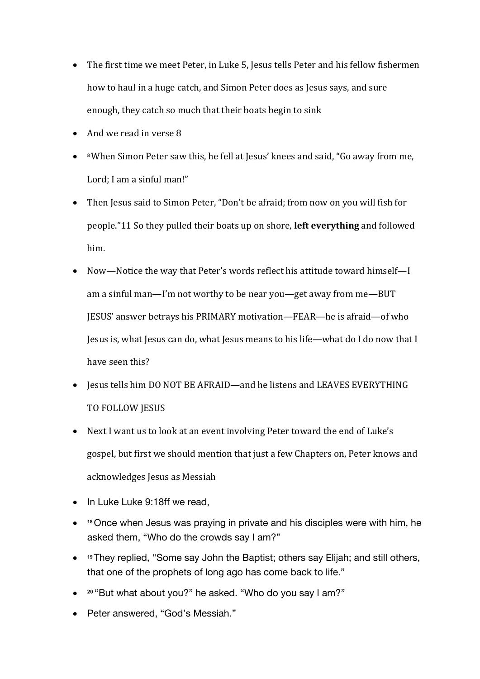- The first time we meet Peter, in Luke 5, Jesus tells Peter and his fellow fishermen how to haul in a huge catch, and Simon Peter does as Jesus says, and sure enough, they catch so much that their boats begin to sink
- And we read in verse 8
- 8 When Simon Peter saw this, he fell at Jesus' knees and said, "Go away from me, Lord: I am a sinful man!"
- Then Jesus said to Simon Peter, "Don't be afraid; from now on you will fish for people."11 So they pulled their boats up on shore, **left everything** and followed him.
- Now—Notice the way that Peter's words reflect his attitude toward himself—I am a sinful man—I'm not worthy to be near you—get away from me—BUT JESUS' answer betrays his PRIMARY motivation—FEAR—he is afraid—of who Jesus is, what Jesus can do, what Jesus means to his life—what do I do now that I have seen this?
- Jesus tells him DO NOT BE AFRAID—and he listens and LEAVES EVERYTHING TO FOLLOW JESUS
- Next I want us to look at an event involving Peter toward the end of Luke's gospel, but first we should mention that just a few Chapters on, Peter knows and acknowledges Jesus as Messiah
- In Luke Luke 9:18ff we read,
- **<sup>18</sup>**Once when Jesus was praying in private and his disciples were with him, he asked them, "Who do the crowds say I am?"
- **<sup>19</sup>**They replied, "Some say John the Baptist; others say Elijah; and still others, that one of the prophets of long ago has come back to life."
- **<sup>20</sup>** "But what about you?" he asked. "Who do you say I am?"
- Peter answered, "God's Messiah."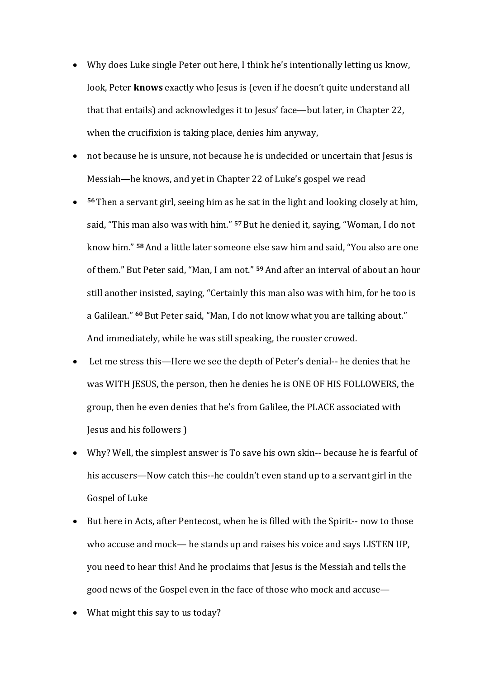- Why does Luke single Peter out here, I think he's intentionally letting us know, look, Peter **knows** exactly who Jesus is (even if he doesn't quite understand all that that entails) and acknowledges it to Jesus' face—but later, in Chapter 22, when the crucifixion is taking place, denies him anyway,
- not because he is unsure, not because he is undecided or uncertain that Jesus is Messiah—he knows, and yet in Chapter 22 of Luke's gospel we read
- <sup>56</sup> Then a servant girl, seeing him as he sat in the light and looking closely at him, said, "This man also was with him." <sup>57</sup> But he denied it, saying, "Woman, I do not know him." <sup>58</sup> And a little later someone else saw him and said, "You also are one of them." But Peter said, "Man, I am not." <sup>59</sup> And after an interval of about an hour still another insisted, saying, "Certainly this man also was with him, for he too is a Galilean." <sup>60</sup> But Peter said, "Man, I do not know what you are talking about." And immediately, while he was still speaking, the rooster crowed.
- Let me stress this—Here we see the depth of Peter's denial-- he denies that he was WITH IESUS, the person, then he denies he is ONE OF HIS FOLLOWERS, the group, then he even denies that he's from Galilee, the PLACE associated with Jesus and his followers )
- Why? Well, the simplest answer is To save his own skin-- because he is fearful of his accusers—Now catch this--he couldn't even stand up to a servant girl in the Gospel of Luke
- But here in Acts, after Pentecost, when he is filled with the Spirit-- now to those who accuse and mock— he stands up and raises his voice and says LISTEN UP, you need to hear this! And he proclaims that Jesus is the Messiah and tells the good news of the Gospel even in the face of those who mock and accuse—
- What might this say to us today?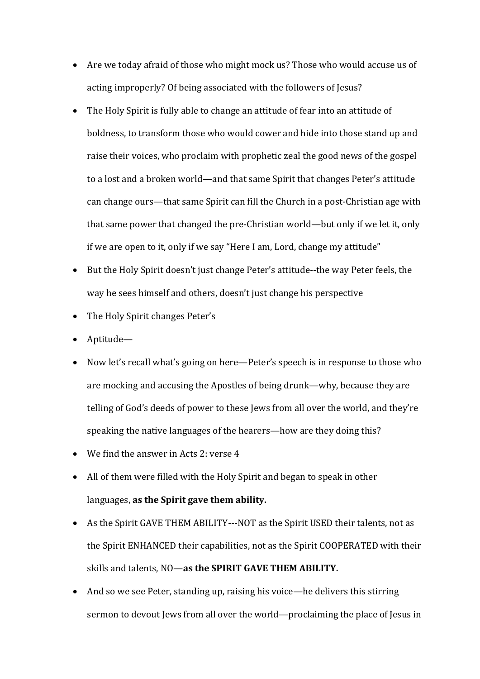- Are we today afraid of those who might mock us? Those who would accuse us of acting improperly? Of being associated with the followers of Jesus?
- The Holy Spirit is fully able to change an attitude of fear into an attitude of boldness, to transform those who would cower and hide into those stand up and raise their voices, who proclaim with prophetic zeal the good news of the gospel to a lost and a broken world—and that same Spirit that changes Peter's attitude can change ours—that same Spirit can fill the Church in a post-Christian age with that same power that changed the pre-Christian world—but only if we let it, only if we are open to it, only if we say "Here I am, Lord, change my attitude"
- But the Holy Spirit doesn't just change Peter's attitude--the way Peter feels, the way he sees himself and others, doesn't just change his perspective
- $\bullet$  The Holy Spirit changes Peter's
- Aptitude—
- Now let's recall what's going on here—Peter's speech is in response to those who are mocking and accusing the Apostles of being drunk—why, because they are telling of God's deeds of power to these Jews from all over the world, and they're speaking the native languages of the hearers—how are they doing this?
- We find the answer in Acts 2: verse 4
- All of them were filled with the Holy Spirit and began to speak in other languages, as the Spirit gave them ability.
- As the Spirit GAVE THEM ABILITY---NOT as the Spirit USED their talents, not as the Spirit ENHANCED their capabilities, not as the Spirit COOPERATED with their skills and talents, NO—as the SPIRIT GAVE THEM ABILITY.
- And so we see Peter, standing up, raising his voice—he delivers this stirring sermon to devout Jews from all over the world—proclaiming the place of Jesus in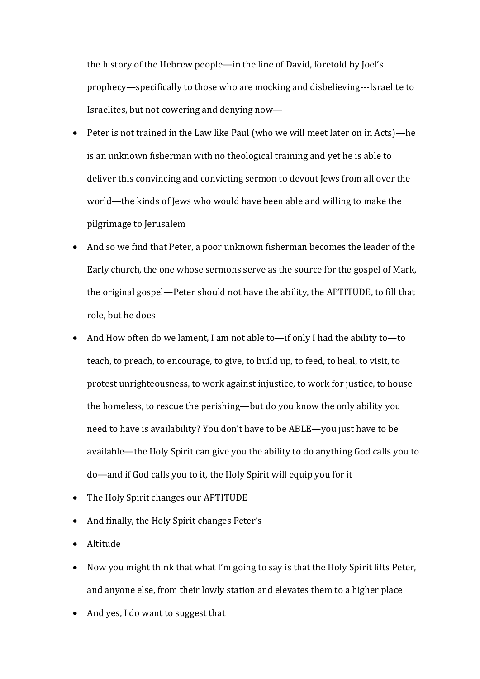the history of the Hebrew people—in the line of David, foretold by Joel's prophecy—specifically to those who are mocking and disbelieving---Israelite to Israelites, but not cowering and denying now—

- Peter is not trained in the Law like Paul (who we will meet later on in Acts)—he is an unknown fisherman with no theological training and yet he is able to deliver this convincing and convicting sermon to devout Jews from all over the world—the kinds of Jews who would have been able and willing to make the pilgrimage to Jerusalem
- And so we find that Peter, a poor unknown fisherman becomes the leader of the Early church, the one whose sermons serve as the source for the gospel of Mark. the original gospel—Peter should not have the ability, the APTITUDE, to fill that role, but he does
- And How often do we lament, I am not able to—if only I had the ability to—to teach, to preach, to encourage, to give, to build up, to feed, to heal, to visit, to protest unrighteousness, to work against injustice, to work for justice, to house the homeless, to rescue the perishing—but do you know the only ability you need to have is availability? You don't have to be ABLE—you just have to be available—the Holy Spirit can give you the ability to do anything God calls you to do—and if God calls you to it, the Holy Spirit will equip you for it
- The Holy Spirit changes our APTITUDE
- And finally, the Holy Spirit changes Peter's
- Altitude
- Now you might think that what I'm going to say is that the Holy Spirit lifts Peter, and anyone else, from their lowly station and elevates them to a higher place
- And ves, I do want to suggest that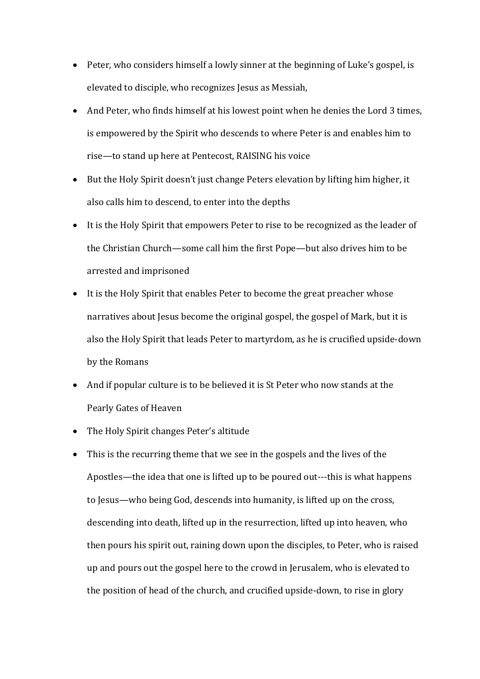- Peter, who considers himself a lowly sinner at the beginning of Luke's gospel, is elevated to disciple, who recognizes Jesus as Messiah,
- And Peter, who finds himself at his lowest point when he denies the Lord 3 times, is empowered by the Spirit who descends to where Peter is and enables him to rise—to stand up here at Pentecost, RAISING his voice
- But the Holy Spirit doesn't just change Peters elevation by lifting him higher, it also calls him to descend, to enter into the depths
- It is the Holy Spirit that empowers Peter to rise to be recognized as the leader of the Christian Church—some call him the first Pope—but also drives him to be arrested and imprisoned
- It is the Holy Spirit that enables Peter to become the great preacher whose narratives about Jesus become the original gospel, the gospel of Mark, but it is also the Holy Spirit that leads Peter to martyrdom, as he is crucified upside-down by the Romans
- And if popular culture is to be believed it is St Peter who now stands at the Pearly Gates of Heaven
- The Holy Spirit changes Peter's altitude
- This is the recurring theme that we see in the gospels and the lives of the Apostles—the idea that one is lifted up to be poured out---this is what happens to Jesus—who being God, descends into humanity, is lifted up on the cross, descending into death, lifted up in the resurrection, lifted up into heaven, who then pours his spirit out, raining down upon the disciples, to Peter, who is raised up and pours out the gospel here to the crowd in Jerusalem, who is elevated to the position of head of the church, and crucified upside-down, to rise in glory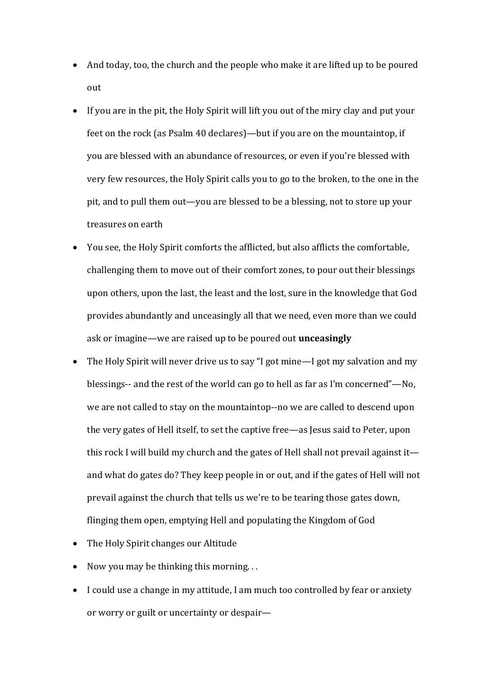- And today, too, the church and the people who make it are lifted up to be poured out
- If you are in the pit, the Holy Spirit will lift you out of the miry clay and put your feet on the rock (as Psalm 40 declares)—but if you are on the mountaintop, if you are blessed with an abundance of resources, or even if you're blessed with very few resources, the Holy Spirit calls you to go to the broken, to the one in the pit, and to pull them out—you are blessed to be a blessing, not to store up your treasures on earth
- You see, the Holy Spirit comforts the afflicted, but also afflicts the comfortable, challenging them to move out of their comfort zones, to pour out their blessings upon others, upon the last, the least and the lost, sure in the knowledge that God provides abundantly and unceasingly all that we need, even more than we could ask or imagine—we are raised up to be poured out *unceasingly*
- The Holy Spirit will never drive us to say "I got mine—I got my salvation and my blessings-- and the rest of the world can go to hell as far as I'm concerned"—No, we are not called to stay on the mountaintop--no we are called to descend upon the very gates of Hell itself, to set the captive free—as Jesus said to Peter, upon this rock I will build my church and the gates of Hell shall not prevail against it and what do gates do? They keep people in or out, and if the gates of Hell will not prevail against the church that tells us we're to be tearing those gates down, flinging them open, emptying Hell and populating the Kingdom of God
- The Holy Spirit changes our Altitude
- Now you may be thinking this morning...
- I could use a change in my attitude, I am much too controlled by fear or anxiety or worry or guilt or uncertainty or despair-